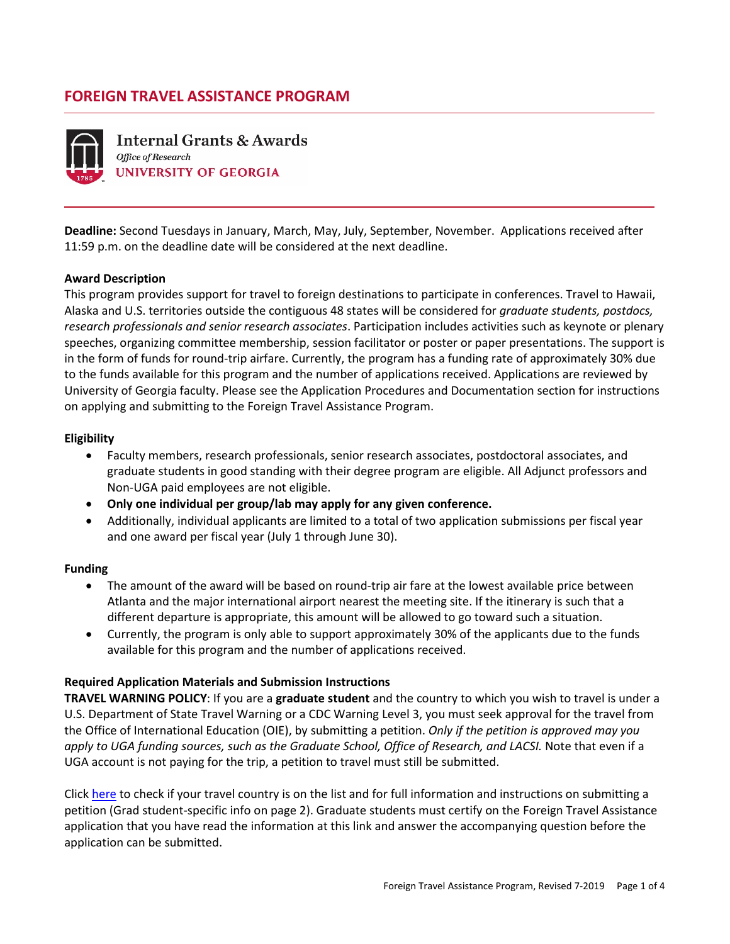# **FOREIGN TRAVEL ASSISTANCE PROGRAM**



**Internal Grants & Awards** Office of Research **UNIVERSITY OF GEORGIA** 

**Deadline:** Second Tuesdays in January, March, May, July, September, November. Applications received after 11:59 p.m. on the deadline date will be considered at the next deadline.

#### **Award Description**

This program provides support for travel to foreign destinations to participate in conferences. Travel to Hawaii, Alaska and U.S. territories outside the contiguous 48 states will be considered for *graduate students, postdocs, research professionals and senior research associates*. Participation includes activities such as keynote or plenary speeches, organizing committee membership, session facilitator or poster or paper presentations. The support is in the form of funds for round-trip airfare. Currently, the program has a funding rate of approximately 30% due to the funds available for this program and the number of applications received. Applications are reviewed by University of Georgia faculty. Please see the Application Procedures and Documentation section for instructions on applying and submitting to the Foreign Travel Assistance Program.

#### **Eligibility**

- Faculty members, research professionals, senior research associates, postdoctoral associates, and graduate students in good standing with their degree program are eligible. All Adjunct professors and Non-UGA paid employees are not eligible.
- **Only one individual per group/lab may apply for any given conference.**
- Additionally, individual applicants are limited to a total of two application submissions per fiscal year and one award per fiscal year (July 1 through June 30).

#### **Funding**

- The amount of the award will be based on round-trip air fare at the lowest available price between Atlanta and the major international airport nearest the meeting site. If the itinerary is such that a different departure is appropriate, this amount will be allowed to go toward such a situation.
- Currently, the program is only able to support approximately 30% of the applicants due to the funds available for this program and the number of applications received.

## **Required Application Materials and Submission Instructions**

**TRAVEL WARNING POLICY**: If you are a **graduate student** and the country to which you wish to travel is under a U.S. Department of State Travel Warning or a CDC Warning Level 3, you must seek approval for the travel from the Office of International Education (OIE), by submitting a petition. *Only if the petition is approved may you apply to UGA funding sources, such as the Graduate School, Office of Research, and LACSI.* Note that even if a UGA account is not paying for the trip, a petition to travel must still be submitted.

Click [here](https://research.uga.edu/iga/wp-content/uploads/sites/12/2017/10/Travel-Warning-policy-UPDATED10-2017.pdf) to check if your travel country is on the list and for full information and instructions on submitting a petition (Grad student-specific info on page 2). Graduate students must certify on the Foreign Travel Assistance application that you have read the information at this link and answer the accompanying question before the application can be submitted.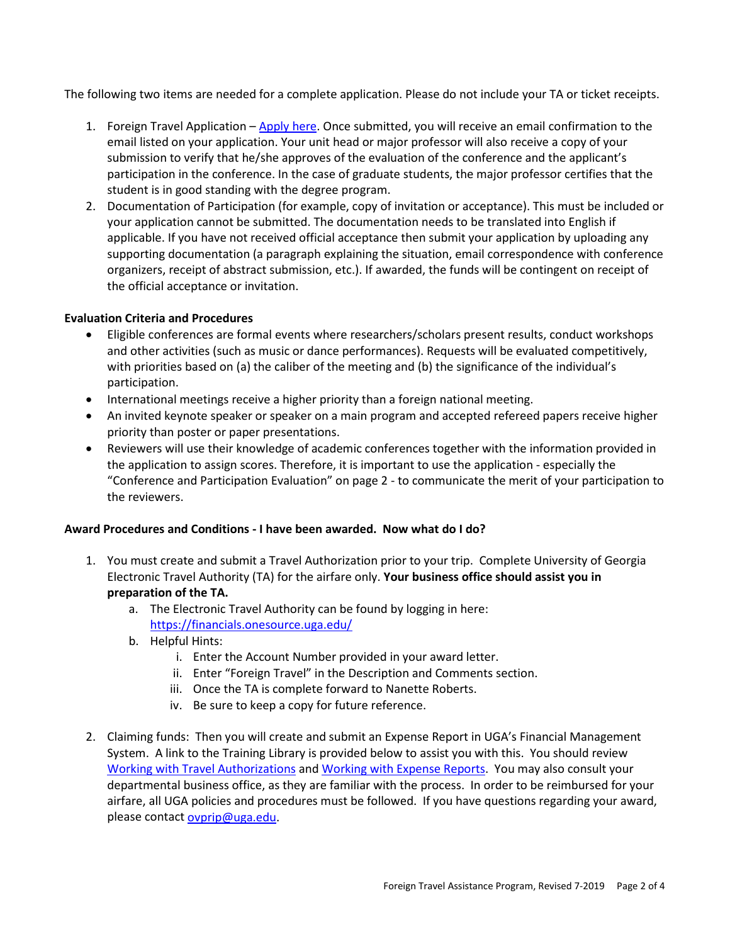The following two items are needed for a complete application. Please do not include your TA or ticket receipts.

- 1. Foreign Travel Application [Apply here.](http://form.jotform.us/form/51663778577170) Once submitted, you will receive an email confirmation to the email listed on your application. Your unit head or major professor will also receive a copy of your submission to verify that he/she approves of the evaluation of the conference and the applicant's participation in the conference. In the case of graduate students, the major professor certifies that the student is in good standing with the degree program.
- 2. Documentation of Participation (for example, copy of invitation or acceptance). This must be included or your application cannot be submitted. The documentation needs to be translated into English if applicable. If you have not received official acceptance then submit your application by uploading any supporting documentation (a paragraph explaining the situation, email correspondence with conference organizers, receipt of abstract submission, etc.). If awarded, the funds will be contingent on receipt of the official acceptance or invitation.

#### **Evaluation Criteria and Procedures**

- Eligible conferences are formal events where researchers/scholars present results, conduct workshops and other activities (such as music or dance performances). Requests will be evaluated competitively, with priorities based on (a) the caliber of the meeting and (b) the significance of the individual's participation.
- International meetings receive a higher priority than a foreign national meeting.
- An invited keynote speaker or speaker on a main program and accepted refereed papers receive higher priority than poster or paper presentations.
- Reviewers will use their knowledge of academic conferences together with the information provided in the application to assign scores. Therefore, it is important to use the application - especially the "Conference and Participation Evaluation" on page 2 - to communicate the merit of your participation to the reviewers.

## **Award Procedures and Conditions - I have been awarded. Now what do I do?**

- 1. You must create and submit a Travel Authorization prior to your trip. Complete University of Georgia Electronic Travel Authority (TA) for the airfare only. **Your business office should assist you in preparation of the TA.**
	- a. The Electronic Travel Authority can be found by logging in here: <https://financials.onesource.uga.edu/>
	- b. Helpful Hints:
		- i. Enter the Account Number provided in your award letter.
		- ii. Enter "Foreign Travel" in the Description and Comments section.
		- iii. Once the TA is complete forward to Nanette Roberts.
		- iv. Be sure to keep a copy for future reference.
- 2. Claiming funds: Then you will create and submit an Expense Report in UGA's Financial Management System. A link to the Training Library is provided below to assist you with this. You should review [Working with Travel Authorizations](https://training.onesource.uga.edu/UPK_Training/OneSourceOL/Publishing%20Content/PlayerPackage/index.html?Guid=f6b49935-f44a-4262-af6d-9be98c2d6dd9) and [Working with Expense Reports.](https://training.onesource.uga.edu/UPK_Training/OneSourceOL/Publishing%20Content/PlayerPackage/index.html?Guid=6b5d45be-e8ac-4161-aae0-080f545714b6) You may also consult your departmental business office, as they are familiar with the process. In order to be reimbursed for your airfare, all UGA policies and procedures must be followed. If you have questions regarding your award, please contact [ovprip@uga.edu.](mailto:ovprip@uga.edu)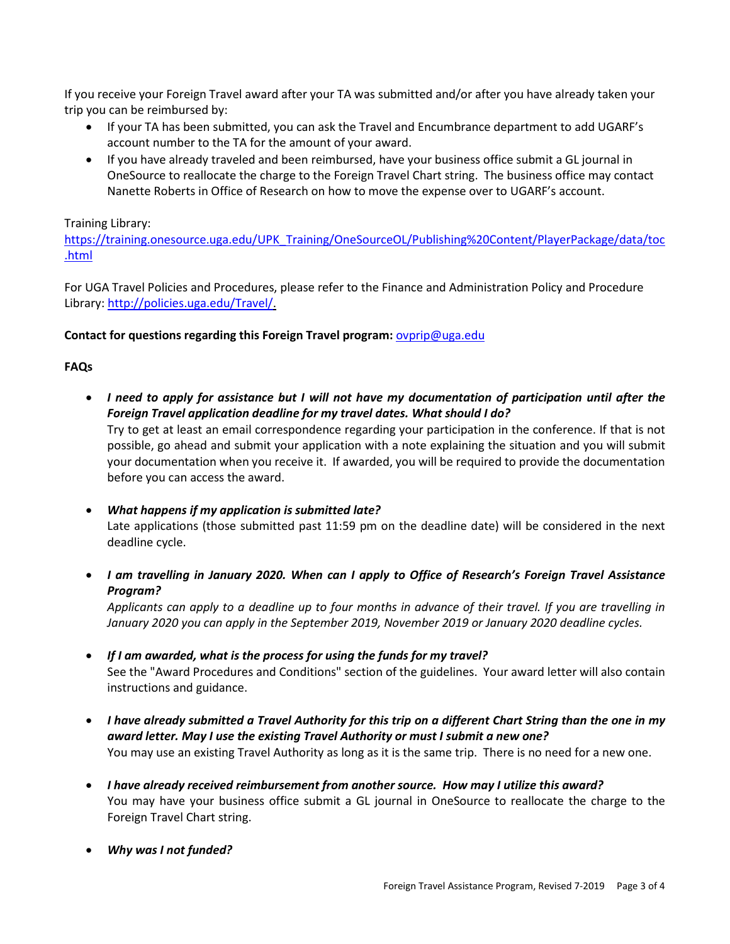If you receive your Foreign Travel award after your TA was submitted and/or after you have already taken your trip you can be reimbursed by:

- If your TA has been submitted, you can ask the Travel and Encumbrance department to add UGARF's account number to the TA for the amount of your award.
- If you have already traveled and been reimbursed, have your business office submit a GL journal in OneSource to reallocate the charge to the Foreign Travel Chart string. The business office may contact Nanette Roberts in Office of Research on how to move the expense over to UGARF's account.

# Training Library:

[https://training.onesource.uga.edu/UPK\\_Training/OneSourceOL/Publishing%20Content/PlayerPackage/data/toc](https://training.onesource.uga.edu/UPK_Training/OneSourceOL/Publishing%20Content/PlayerPackage/data/toc.html) [.html](https://training.onesource.uga.edu/UPK_Training/OneSourceOL/Publishing%20Content/PlayerPackage/data/toc.html)

For UGA Travel Policies and Procedures, please refer to the Finance and Administration Policy and Procedure Library: [http://policies.uga.edu/Travel/.](http://policies.uga.edu/Travel/)

## **Contact for questions regarding this Foreign Travel program:** [ovprip@uga.edu](mailto:ovprip@uga.edu)

# **FAQs**

• *I need to apply for assistance but I will not have my documentation of participation until after the Foreign Travel application deadline for my travel dates. What should I do?* 

Try to get at least an email correspondence regarding your participation in the conference. If that is not possible, go ahead and submit your application with a note explaining the situation and you will submit your documentation when you receive it. If awarded, you will be required to provide the documentation before you can access the award.

- *What happens if my application is submitted late?*  Late applications (those submitted past 11:59 pm on the deadline date) will be considered in the next deadline cycle.
- *I am travelling in January 2020. When can I apply to Office of Research's Foreign Travel Assistance Program?*

*Applicants can apply to a deadline up to four months in advance of their travel. If you are travelling in January 2020 you can apply in the September 2019, November 2019 or January 2020 deadline cycles.* 

- *If I am awarded, what is the process for using the funds for my travel?*  See the "Award Procedures and Conditions" section of the guidelines. Your award letter will also contain instructions and guidance.
- *I have already submitted a Travel Authority for this trip on a different Chart String than the one in my award letter. May I use the existing Travel Authority or must I submit a new one?* You may use an existing Travel Authority as long as it is the same trip. There is no need for a new one.
- *I have already received reimbursement from another source. How may I utilize this award?* You may have your business office submit a GL journal in OneSource to reallocate the charge to the Foreign Travel Chart string.
- *Why was I not funded?*